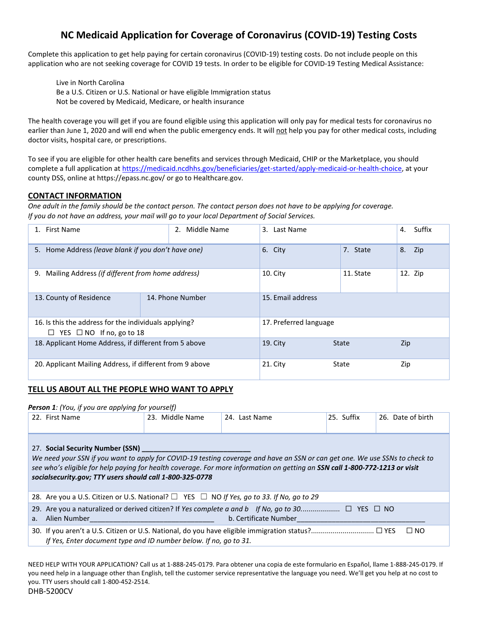# **NC Medicaid Application for Coverage of Coronavirus (COVID-19) Testing Costs**

Complete this application to get help paying for certain coronavirus (COVID-19) testing costs. Do not include people on this application who are not seeking coverage for COVID 19 tests. In order to be eligible for COVID-19 Testing Medical Assistance:

Live in North Carolina Be a U.S. Citizen or U.S. National or have eligible Immigration status Not be covered by Medicaid, Medicare, or health insurance

The health coverage you will get if you are found eligible using this application will only pay for medical tests for coronavirus no earlier than June 1, 2020 and will end when the public emergency ends. It will not help you pay for other medical costs, including doctor visits, hospital care, or prescriptions.

To see if you are eligible for other health care benefits and services through Medicaid, CHIP or the Marketplace, you should complete a full application a[t https://medicaid.ncdhhs.gov/beneficiaries/get-started/apply-medicaid-or-health-choice,](https://medicaid.ncdhhs.gov/beneficiaries/get-started/apply-medicaid-or-health-choice) at your county DSS, online at https://epass.nc.gov/ or go to Healthcare.gov.

### **CONTACT INFORMATION**

*One adult in the family should be the contact person. The contact person does not have to be applying for coverage. If you do not have an address, your mail will go to your local Department of Social Services.*

| 1. First Name                                            | Middle Name<br>2. | 3. Last Name      |                        | Suffix<br>4. |  |
|----------------------------------------------------------|-------------------|-------------------|------------------------|--------------|--|
| 5. Home Address (leave blank if you don't have one)      |                   | 6. City           | 7. State               | 8.<br>Zip    |  |
| Mailing Address (if different from home address)<br>9.   |                   | $10.$ City        | 11. State              | 12. Zip      |  |
| 13. County of Residence                                  | 14. Phone Number  | 15. Email address |                        |              |  |
| 16. Is this the address for the individuals applying?    |                   |                   | 17. Preferred language |              |  |
| $\Box$ YES $\Box$ NO If no, go to 18                     |                   |                   |                        |              |  |
| 18. Applicant Home Address, if different from 5 above    |                   | $19.$ City        | <b>State</b>           | Zip          |  |
| 20. Applicant Mailing Address, if different from 9 above |                   | $21.$ City        | State                  | Zip          |  |

#### **TELL US ABOUT ALL THE PEOPLE WHO WANT TO APPLY**

#### *Person 1: (You, if you are applying for yourself)*

| 22. First Name                                                                                                                                                                                                                                                                                                                                             | 23. Middle Name | 24. Last Name | 25. Suffix | 26. Date of birth |  |
|------------------------------------------------------------------------------------------------------------------------------------------------------------------------------------------------------------------------------------------------------------------------------------------------------------------------------------------------------------|-----------------|---------------|------------|-------------------|--|
| 27. Social Security Number (SSN)<br>We need your SSN if you want to apply for COVID-19 testing coverage and have an SSN or can get one. We use SSNs to check to<br>see who's eligible for help paying for health coverage. For more information on getting an SSN call 1-800-772-1213 or visit<br>socialsecurity.gov; TTY users should call 1-800-325-0778 |                 |               |            |                   |  |
| 28. Are you a U.S. Citizen or U.S. National? $\square$ YES $\square$ NO If Yes, go to 33. If No, go to 29                                                                                                                                                                                                                                                  |                 |               |            |                   |  |
| 29. Are you a naturalized or derived citizen? If Yes complete a and b If No, go to 30 $\Box$ YES $\Box$ NO<br>b. Certificate Number<br>Alien Number <b>Alien Number</b><br>a.                                                                                                                                                                              |                 |               |            |                   |  |
| If Yes, Enter document type and ID number below. If no, go to 31.                                                                                                                                                                                                                                                                                          |                 |               |            | $\Box$ NO         |  |

NEED HELP WITH YOUR APPLICATION? Call us at 1-888-245-0179. Para obtener una copia de este formulario en Español, llame 1-888-245-0179. If you need help in a language other than English, tell the customer service representative the language you need. We'll get you help at no cost to you. TTY users should call 1-800-452-2514.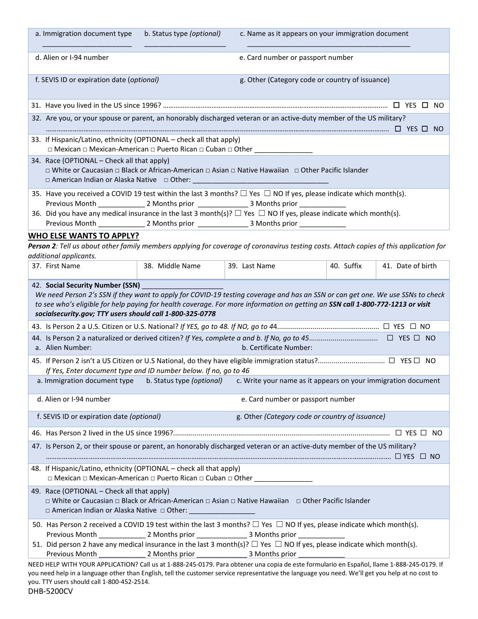| a. Immigration document type                                                                                                                                                                                                                                                                                                                                     | b. Status type (optional) | c. Name as it appears on your immigration document |            |                   |  |
|------------------------------------------------------------------------------------------------------------------------------------------------------------------------------------------------------------------------------------------------------------------------------------------------------------------------------------------------------------------|---------------------------|----------------------------------------------------|------------|-------------------|--|
| d. Alien or I-94 number                                                                                                                                                                                                                                                                                                                                          |                           | e. Card number or passport number                  |            |                   |  |
| f. SEVIS ID or expiration date (optional)                                                                                                                                                                                                                                                                                                                        |                           | g. Other (Category code or country of issuance)    |            |                   |  |
|                                                                                                                                                                                                                                                                                                                                                                  |                           |                                                    |            |                   |  |
| 32. Are you, or your spouse or parent, an honorably discharged veteran or an active-duty member of the US military?                                                                                                                                                                                                                                              |                           |                                                    |            |                   |  |
| 33. If Hispanic/Latino, ethnicity (OPTIONAL - check all that apply)<br>□ Mexican □ Mexican-American □ Puerto Rican □ Cuban □ Other __________                                                                                                                                                                                                                    |                           |                                                    |            |                   |  |
| 34. Race (OPTIONAL - Check all that apply)<br>□ White or Caucasian □ Black or African-American □ Asian □ Native Hawaiian □ Other Pacific Islander                                                                                                                                                                                                                |                           |                                                    |            |                   |  |
| 35. Have you received a COVID 19 test within the last 3 months? $\Box$ Yes $\Box$ NO If yes, please indicate which month(s).<br>36. Did you have any medical insurance in the last 3 month(s)? $\Box$ Yes $\Box$ NO If yes, please indicate which month(s).                                                                                                      |                           |                                                    |            |                   |  |
|                                                                                                                                                                                                                                                                                                                                                                  |                           |                                                    |            |                   |  |
| <b>WHO ELSE WANTS TO APPLY?</b>                                                                                                                                                                                                                                                                                                                                  |                           |                                                    |            |                   |  |
| Person 2: Tell us about other family members applying for coverage of coronavirus testing costs. Attach copies of this application for                                                                                                                                                                                                                           |                           |                                                    |            |                   |  |
| additional applicants.                                                                                                                                                                                                                                                                                                                                           |                           |                                                    |            |                   |  |
| 37. First Name                                                                                                                                                                                                                                                                                                                                                   | 38. Middle Name           | 39. Last Name                                      | 40. Suffix | 41. Date of birth |  |
| 42. Social Security Number (SSN)<br>We need Person 2's SSN if they want to apply for COVID-19 testing coverage and has an SSN or can get one. We use SSNs to check<br>to see who's eligible for help paying for health coverage. For more information on getting an SSN call 1-800-772-1213 or visit<br>socialsecurity.gov; TTY users should call 1-800-325-0778 |                           |                                                    |            |                   |  |
|                                                                                                                                                                                                                                                                                                                                                                  |                           |                                                    |            |                   |  |
| a. Alien Number:                                                                                                                                                                                                                                                                                                                                                 | b. Certificate Number:    |                                                    |            |                   |  |
| If Yes, Enter document type and ID number below. If no, go to 46                                                                                                                                                                                                                                                                                                 |                           |                                                    |            |                   |  |
| a. Immigration document type b. Status type (optional)<br>c. Write your name as it appears on your immigration document                                                                                                                                                                                                                                          |                           |                                                    |            |                   |  |
| d. Alien or I-94 number<br>e. Card number or passport number                                                                                                                                                                                                                                                                                                     |                           |                                                    |            |                   |  |
| g. Other (Category code or country of issuance)<br>f. SEVIS ID or expiration date (optional)                                                                                                                                                                                                                                                                     |                           |                                                    |            |                   |  |
|                                                                                                                                                                                                                                                                                                                                                                  |                           |                                                    |            |                   |  |
| 47. Is Person 2, or their spouse or parent, an honorably discharged veteran or an active-duty member of the US military?                                                                                                                                                                                                                                         |                           |                                                    |            |                   |  |
| 48. If Hispanic/Latino, ethnicity (OPTIONAL - check all that apply)<br>□ Mexican □ Mexican-American □ Puerto Rican □ Cuban □ Other ___________                                                                                                                                                                                                                   |                           |                                                    |            |                   |  |
| 49. Race (OPTIONAL - Check all that apply)<br>□ White or Caucasian □ Black or African-American □ Asian □ Native Hawaiian □ Other Pacific Islander<br>□ American Indian or Alaska Native □ Other: __                                                                                                                                                              |                           |                                                    |            |                   |  |
| 50. Has Person 2 received a COVID 19 test within the last 3 months? $\Box$ Yes $\Box$ NO If yes, please indicate which month(s).                                                                                                                                                                                                                                 |                           |                                                    |            |                   |  |
| 51. Did person 2 have any medical insurance in the last 3 month(s)? $\Box$ Yes $\Box$ NO If yes, please indicate which month(s).<br>NEED HELP WITH YOUR APPLICATION? Call us at 1-888-245-0179. Para obtener una copia de este formulario en Español, llame 1-888-245-0179. If                                                                                   |                           |                                                    |            |                   |  |

you need help in a language other than English, tell the customer service representative the language you need. We'll get you help at no cost to you. TTY users should call 1-800-452-2514.